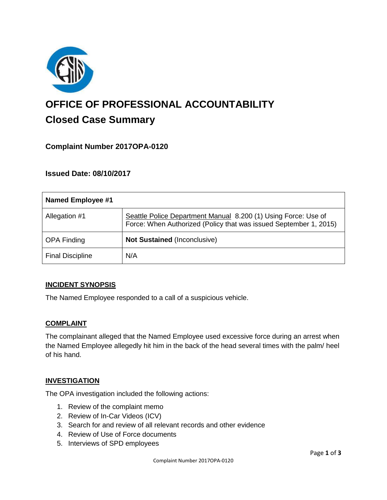

# **OFFICE OF PROFESSIONAL ACCOUNTABILITY Closed Case Summary**

## **Complaint Number 2017OPA-0120**

## **Issued Date: 08/10/2017**

| <b>Named Employee #1</b> |                                                                                                                                     |
|--------------------------|-------------------------------------------------------------------------------------------------------------------------------------|
| Allegation #1            | Seattle Police Department Manual 8.200 (1) Using Force: Use of<br>Force: When Authorized (Policy that was issued September 1, 2015) |
| <b>OPA Finding</b>       | <b>Not Sustained (Inconclusive)</b>                                                                                                 |
| <b>Final Discipline</b>  | N/A                                                                                                                                 |

#### **INCIDENT SYNOPSIS**

The Named Employee responded to a call of a suspicious vehicle.

#### **COMPLAINT**

The complainant alleged that the Named Employee used excessive force during an arrest when the Named Employee allegedly hit him in the back of the head several times with the palm/ heel of his hand.

#### **INVESTIGATION**

The OPA investigation included the following actions:

- 1. Review of the complaint memo
- 2. Review of In-Car Videos (ICV)
- 3. Search for and review of all relevant records and other evidence
- 4. Review of Use of Force documents
- 5. Interviews of SPD employees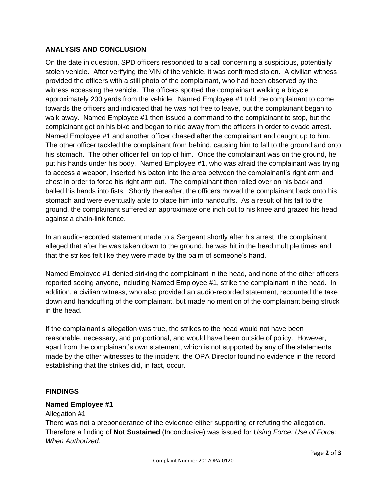### **ANALYSIS AND CONCLUSION**

On the date in question, SPD officers responded to a call concerning a suspicious, potentially stolen vehicle. After verifying the VIN of the vehicle, it was confirmed stolen. A civilian witness provided the officers with a still photo of the complainant, who had been observed by the witness accessing the vehicle. The officers spotted the complainant walking a bicycle approximately 200 yards from the vehicle. Named Employee #1 told the complainant to come towards the officers and indicated that he was not free to leave, but the complainant began to walk away. Named Employee #1 then issued a command to the complainant to stop, but the complainant got on his bike and began to ride away from the officers in order to evade arrest. Named Employee #1 and another officer chased after the complainant and caught up to him. The other officer tackled the complainant from behind, causing him to fall to the ground and onto his stomach. The other officer fell on top of him. Once the complainant was on the ground, he put his hands under his body. Named Employee #1, who was afraid the complainant was trying to access a weapon, inserted his baton into the area between the complainant's right arm and chest in order to force his right arm out. The complainant then rolled over on his back and balled his hands into fists. Shortly thereafter, the officers moved the complainant back onto his stomach and were eventually able to place him into handcuffs. As a result of his fall to the ground, the complainant suffered an approximate one inch cut to his knee and grazed his head against a chain-link fence.

In an audio-recorded statement made to a Sergeant shortly after his arrest, the complainant alleged that after he was taken down to the ground, he was hit in the head multiple times and that the strikes felt like they were made by the palm of someone's hand.

Named Employee #1 denied striking the complainant in the head, and none of the other officers reported seeing anyone, including Named Employee #1, strike the complainant in the head. In addition, a civilian witness, who also provided an audio-recorded statement, recounted the take down and handcuffing of the complainant, but made no mention of the complainant being struck in the head.

If the complainant's allegation was true, the strikes to the head would not have been reasonable, necessary, and proportional, and would have been outside of policy. However, apart from the complainant's own statement, which is not supported by any of the statements made by the other witnesses to the incident, the OPA Director found no evidence in the record establishing that the strikes did, in fact, occur.

## **FINDINGS**

#### **Named Employee #1**

Allegation #1

There was not a preponderance of the evidence either supporting or refuting the allegation. Therefore a finding of **Not Sustained** (Inconclusive) was issued for *Using Force: Use of Force: When Authorized.*